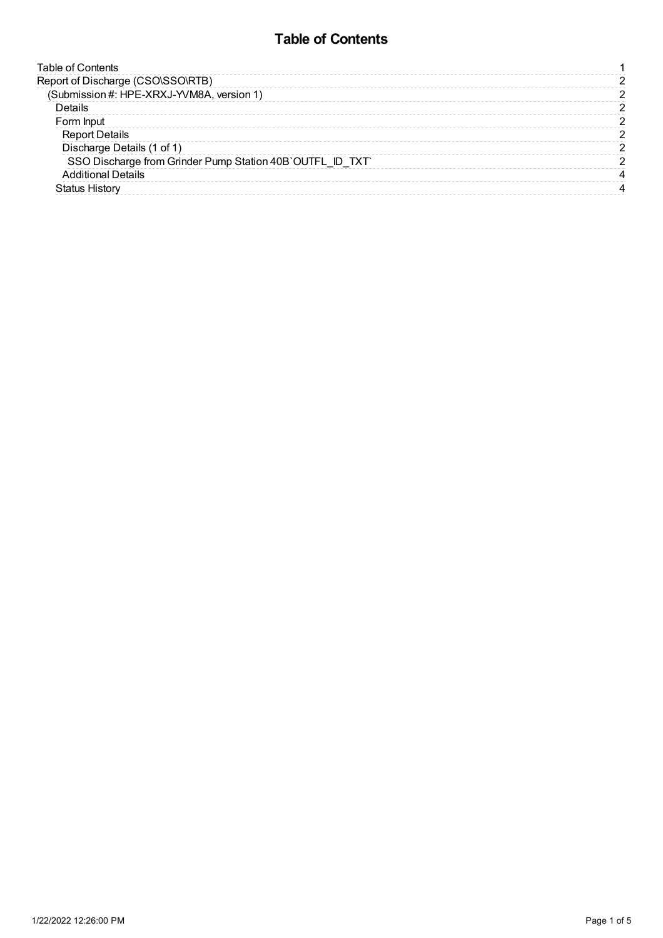# **Table of Contents**

<span id="page-0-0"></span>

| <b>Table of Contents</b>                                  |  |
|-----------------------------------------------------------|--|
| Report of Discharge (CSO\SSO\RTB)                         |  |
| (Submission #: HPE-XRXJ-YVM8A, version 1)                 |  |
| <b>Details</b>                                            |  |
| Form Input                                                |  |
| <b>Report Details</b>                                     |  |
| Discharge Details (1 of 1)                                |  |
| SSO Discharge from Grinder Pump Station 40B`OUTFL ID TXT` |  |
| <b>Additional Details</b>                                 |  |
| <b>Status History</b>                                     |  |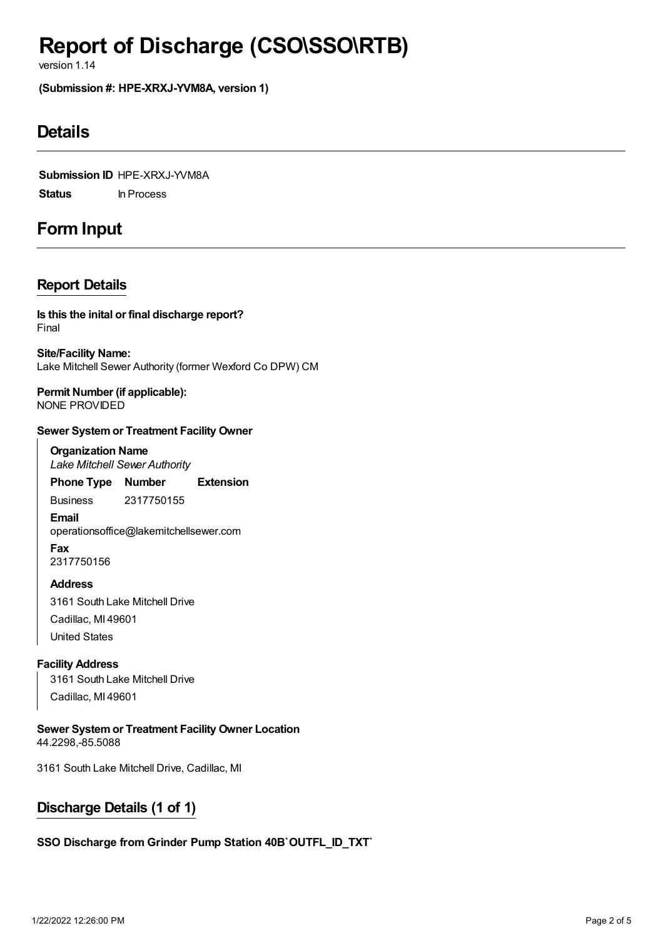# <span id="page-1-0"></span>**Report of Discharge (CSO\SSO\RTB)**

version 1.14

<span id="page-1-1"></span>**(Submission #: HPE-XRXJ-YVM8A, version 1)**

# <span id="page-1-2"></span>**Details**

**Submission ID** HPE-XRXJ-YVM8A **Status** In Process

# <span id="page-1-3"></span>**Form Input**

### <span id="page-1-4"></span>**Report Details**

Final **Is this the inital or final discharge report?**

**Site/Facility Name:** Lake Mitchell Sewer Authority (former Wexford Co DPW) CM

**Permit Number (if applicable):** NONE PROVIDED

#### **Sewer Systemor Treatment Facility Owner**

**Organization Name** *Lake Mitchell Sewer Authority*

**Phone Type Number Extension**

Business 2317750155

**Email** operationsoffice@lakemitchellsewer.com **Fax** 2317750156

**Address** 3161 South Lake Mitchell Drive Cadillac, MI 49601 United States

#### **Facility Address**

3161 South Lake Mitchell Drive Cadillac, MI 49601

**Sewer Systemor Treatment Facility Owner Location** 44.2298,-85.5088

3161 South Lake Mitchell Drive, Cadillac, MI

## <span id="page-1-5"></span>**Discharge Details (1 of 1)**

#### <span id="page-1-6"></span>**SSO Discharge from Grinder Pump Station 40B`OUTFL\_ID\_TXT`**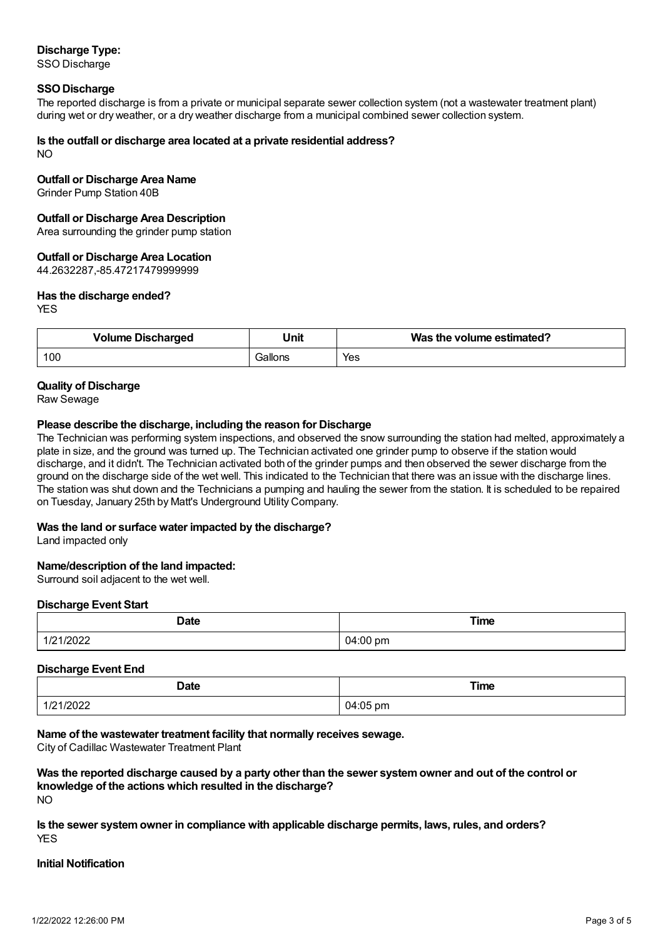### **Discharge Type:**

SSO Discharge

#### **SSO Discharge**

The reported discharge is from a private or municipal separate sewer collection system (not a wastewater treatment plant) during wet or dry weather, or a dry weather discharge from a municipal combined sewer collection system.

#### **Is the outfall or discharge area located at a private residential address?**

NO

#### **Outfall or Discharge Area Name**

Grinder Pump Station 40B

#### **Outfall or Discharge Area Description**

Area surrounding the grinder pump station

#### **Outfall or Discharge Area Location**

44.2632287,-85.47217479999999

#### **Has the discharge ended?**

**YES** 

| <b>Volume Discharged</b> | Unit    | Was the volume estimated? |
|--------------------------|---------|---------------------------|
| 100                      | Gallons | Yes                       |

#### **Quality of Discharge**

Raw Sewage

#### **Please describe the discharge, including the reason for Discharge**

The Technician was performing system inspections, and observed the snow surrounding the station had melted, approximately a plate in size, and the ground was turned up. The Technician activated one grinder pump to observe if the station would discharge, and it didn't. The Technician activated both of the grinder pumps and then observed the sewer discharge from the ground on the discharge side of the wet well. This indicated to the Technician that there was an issue with the discharge lines. The station was shut down and the Technicians a pumping and hauling the sewer from the station. It is scheduled to be repaired on Tuesday, January 25th by Matt's Underground Utility Company.

#### **Was the land or surface water impacted by the discharge?**

Land impacted only

#### **Name/description of the land impacted:**

Surround soil adjacent to the wet well.

#### **Discharge Event Start**

| <b>Date</b>   | Time     |
|---------------|----------|
| .             |          |
| 1/2022<br>. . | 04:00 pm |

#### **Discharge Event End**

| <b>Date</b> | <b>Time</b>                                                              |
|-------------|--------------------------------------------------------------------------|
|             | $\sim$ $\sim$ $\sim$<br>$\frac{1}{2}$ pm<br>- 14<br>$\sim$ $\sim$ $\sim$ |

#### **Name of the wastewater treatment facility that normally receives sewage.**

City of Cadillac Wastewater Treatment Plant

#### $N<sub>O</sub>$ Was the reported discharge caused by a party other than the sewer system owner and out of the control or **knowledge of the actions which resulted in the discharge?**

**YES Is the sewer systemowner in compliance with applicable discharge permits, laws, rules, and orders?**

#### **Initial Notification**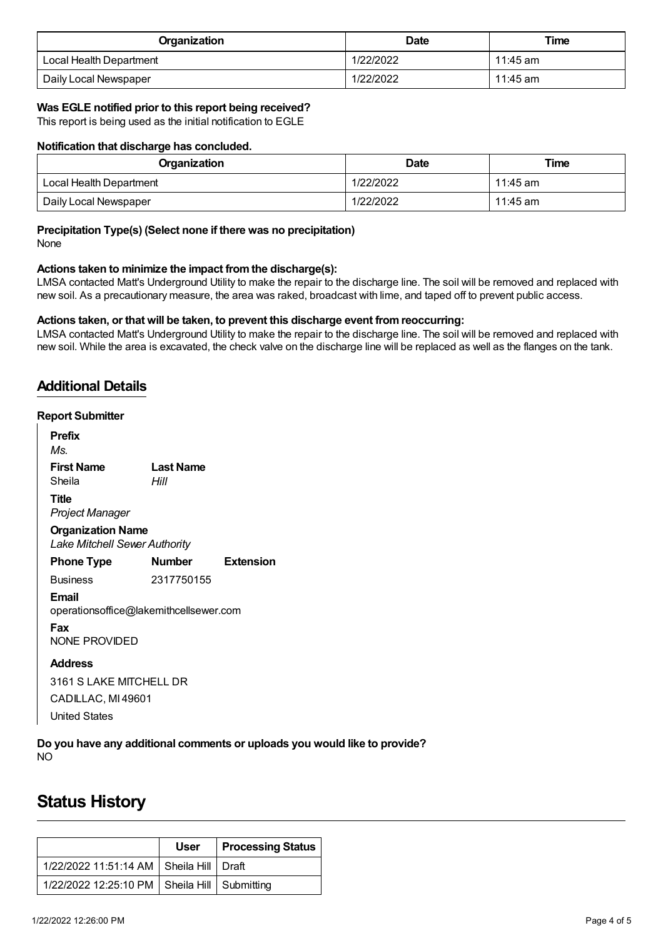| Organization            | <b>Date</b> | Time     |
|-------------------------|-------------|----------|
| Local Health Department | 1/22/2022   | 11:45 am |
| Daily Local Newspaper   | 1/22/2022   | 11:45 am |

#### **Was EGLE notified prior to this report being received?**

This report is being used as the initial notification to EGLE

#### **Notification that discharge has concluded.**

| Organization            | <b>Date</b> | Time     |
|-------------------------|-------------|----------|
| Local Health Department | 1/22/2022   | 11:45 am |
| Daily Local Newspaper   | 1/22/2022   | 11:45 am |

#### **Precipitation Type(s) (Select none if there was no precipitation)**

None

#### **Actions taken to minimize the impact fromthe discharge(s):**

LMSA contacted Matt's Underground Utility to make the repair to the discharge line. The soil will be removed and replaced with new soil. As a precautionary measure, the area was raked, broadcast with lime, and taped off to prevent public access.

#### **Actions taken, or that will be taken, to prevent this discharge event fromreoccurring:**

LMSA contacted Matt's Underground Utility to make the repair to the discharge line. The soil will be removed and replaced with new soil. While the area is excavated, the check valve on the discharge line will be replaced as well as the flanges on the tank.

### <span id="page-3-0"></span>**Additional Details**

#### **Report Submitter**

| <b>Prefix</b><br>Ms.                                             |                          |                  |
|------------------------------------------------------------------|--------------------------|------------------|
| <b>First Name</b><br>Sheila                                      | <b>Last Name</b><br>Hill |                  |
| Title<br>Project Manager                                         |                          |                  |
| <b>Organization Name</b><br><b>Lake Mitchell Sewer Authority</b> |                          |                  |
| <b>Phone Type</b>                                                | <b>Number</b>            | <b>Extension</b> |
| <b>Business</b>                                                  | 2317750155               |                  |
| Email<br>operationsoffice@lakemithcellsewer.com                  |                          |                  |
| Fax<br>NONE PROVIDED                                             |                          |                  |
| <b>Address</b>                                                   |                          |                  |
| 3161 S LAKE MITCHELL DR                                          |                          |                  |
| CADILLAC, MI 49601                                               |                          |                  |
|                                                                  |                          |                  |

United States

NO **Do you have any additional comments or uploads you would like to provide?**

# <span id="page-3-1"></span>**Status History**

|                                                  | User | <b>Processing Status</b> |
|--------------------------------------------------|------|--------------------------|
| 1/22/2022 11:51:14 AM   Sheila Hill   Draft      |      |                          |
| 1/22/2022 12:25:10 PM   Sheila Hill   Submitting |      |                          |